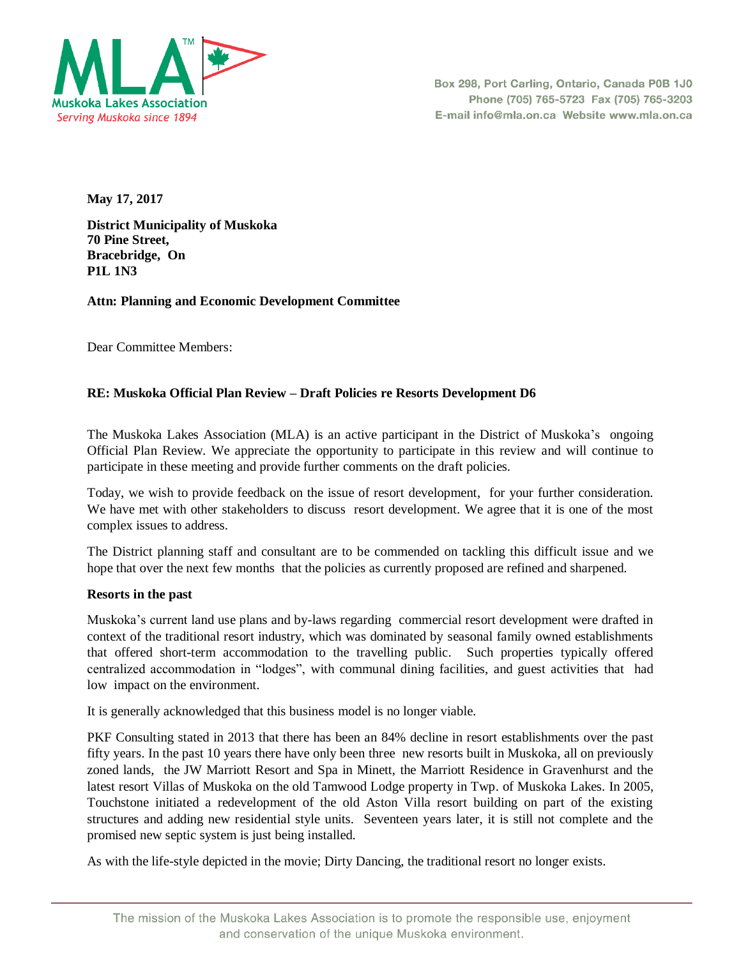

Box 298, Port Carling, Ontario, Canada P0B 1J0 Phone (705) 765-5723 Fax (705) 765-3203 E-mail info@mla.on.ca Website www.mla.on.ca

**May 17, 2017** 

**District Municipality of Muskoka 70 Pine Street, Bracebridge, On P1L 1N3**

**Attn: Planning and Economic Development Committee** 

Dear Committee Members:

# **RE: Muskoka Official Plan Review – Draft Policies re Resorts Development D6**

The Muskoka Lakes Association (MLA) is an active participant in the District of Muskoka's ongoing Official Plan Review. We appreciate the opportunity to participate in this review and will continue to participate in these meeting and provide further comments on the draft policies.

Today, we wish to provide feedback on the issue of resort development, for your further consideration. We have met with other stakeholders to discuss resort development. We agree that it is one of the most complex issues to address.

The District planning staff and consultant are to be commended on tackling this difficult issue and we hope that over the next few months that the policies as currently proposed are refined and sharpened.

## **Resorts in the past**

Muskoka's current land use plans and by-laws regarding commercial resort development were drafted in context of the traditional resort industry, which was dominated by seasonal family owned establishments that offered short-term accommodation to the travelling public. Such properties typically offered centralized accommodation in "lodges", with communal dining facilities, and guest activities that had low impact on the environment.

It is generally acknowledged that this business model is no longer viable.

PKF Consulting stated in 2013 that there has been an 84% decline in resort establishments over the past fifty years. In the past 10 years there have only been three new resorts built in Muskoka, all on previously zoned lands, the JW Marriott Resort and Spa in Minett, the Marriott Residence in Gravenhurst and the latest resort Villas of Muskoka on the old Tamwood Lodge property in Twp. of Muskoka Lakes. In 2005, Touchstone initiated a redevelopment of the old Aston Villa resort building on part of the existing structures and adding new residential style units. Seventeen years later, it is still not complete and the promised new septic system is just being installed.

As with the life-style depicted in the movie; Dirty Dancing, the traditional resort no longer exists.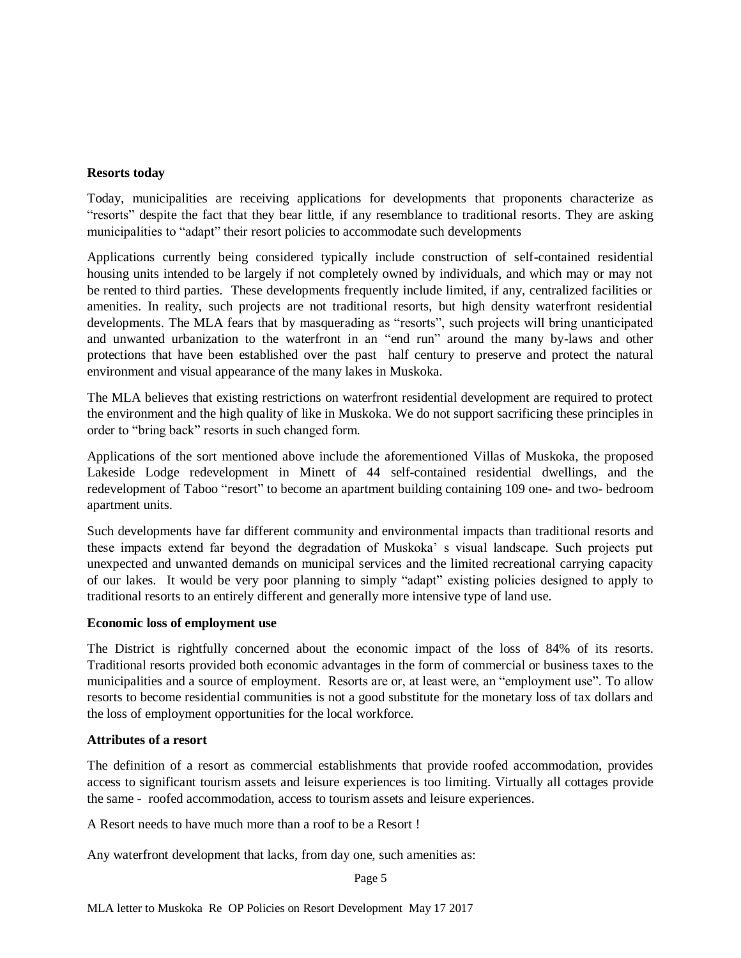# **Resorts today**

Today, municipalities are receiving applications for developments that proponents characterize as "resorts" despite the fact that they bear little, if any resemblance to traditional resorts. They are asking municipalities to "adapt" their resort policies to accommodate such developments

Applications currently being considered typically include construction of self-contained residential housing units intended to be largely if not completely owned by individuals, and which may or may not be rented to third parties. These developments frequently include limited, if any, centralized facilities or amenities. In reality, such projects are not traditional resorts, but high density waterfront residential developments. The MLA fears that by masquerading as "resorts", such projects will bring unanticipated and unwanted urbanization to the waterfront in an "end run" around the many by-laws and other protections that have been established over the past half century to preserve and protect the natural environment and visual appearance of the many lakes in Muskoka.

The MLA believes that existing restrictions on waterfront residential development are required to protect the environment and the high quality of like in Muskoka. We do not support sacrificing these principles in order to "bring back" resorts in such changed form.

Applications of the sort mentioned above include the aforementioned Villas of Muskoka, the proposed Lakeside Lodge redevelopment in Minett of 44 self-contained residential dwellings, and the redevelopment of Taboo "resort" to become an apartment building containing 109 one- and two- bedroom apartment units.

Such developments have far different community and environmental impacts than traditional resorts and these impacts extend far beyond the degradation of Muskoka' s visual landscape. Such projects put unexpected and unwanted demands on municipal services and the limited recreational carrying capacity of our lakes. It would be very poor planning to simply "adapt" existing policies designed to apply to traditional resorts to an entirely different and generally more intensive type of land use.

## **Economic loss of employment use**

The District is rightfully concerned about the economic impact of the loss of 84% of its resorts. Traditional resorts provided both economic advantages in the form of commercial or business taxes to the municipalities and a source of employment. Resorts are or, at least were, an "employment use". To allow resorts to become residential communities is not a good substitute for the monetary loss of tax dollars and the loss of employment opportunities for the local workforce.

## **Attributes of a resort**

The definition of a resort as commercial establishments that provide roofed accommodation, provides access to significant tourism assets and leisure experiences is too limiting. Virtually all cottages provide the same - roofed accommodation, access to tourism assets and leisure experiences.

A Resort needs to have much more than a roof to be a Resort !

Any waterfront development that lacks, from day one, such amenities as:

Page 5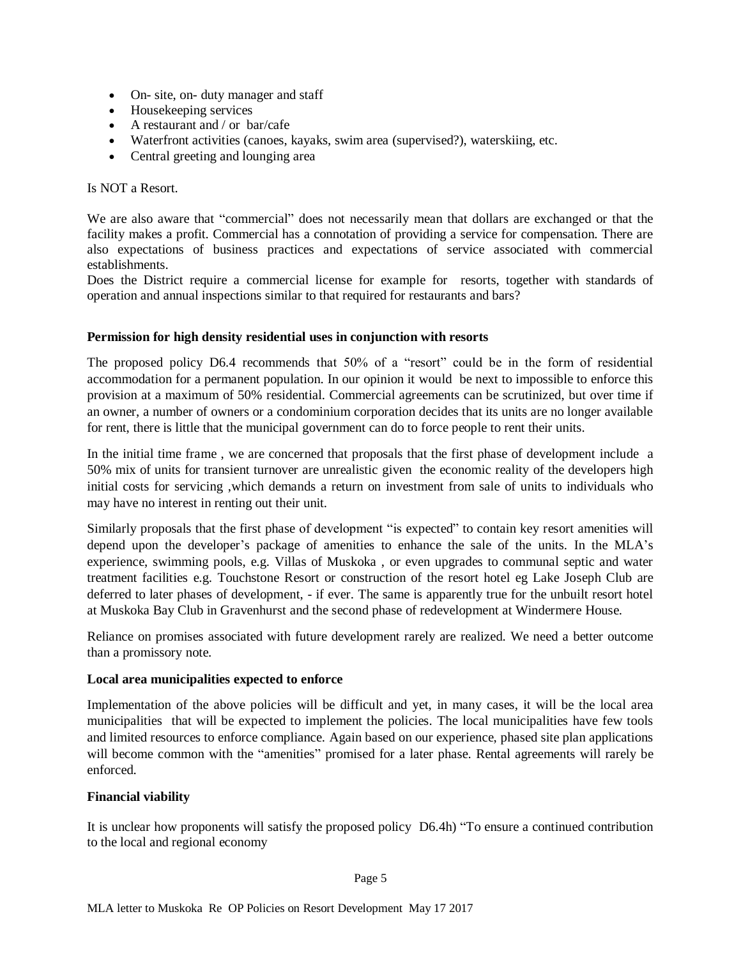- On- site, on- duty manager and staff
- Housekeeping services
- A restaurant and / or bar/cafe
- Waterfront activities (canoes, kayaks, swim area (supervised?), waterskiing, etc.
- Central greeting and lounging area

Is NOT a Resort.

We are also aware that "commercial" does not necessarily mean that dollars are exchanged or that the facility makes a profit. Commercial has a connotation of providing a service for compensation. There are also expectations of business practices and expectations of service associated with commercial establishments.

Does the District require a commercial license for example for resorts, together with standards of operation and annual inspections similar to that required for restaurants and bars?

## **Permission for high density residential uses in conjunction with resorts**

The proposed policy D6.4 recommends that 50% of a "resort" could be in the form of residential accommodation for a permanent population. In our opinion it would be next to impossible to enforce this provision at a maximum of 50% residential. Commercial agreements can be scrutinized, but over time if an owner, a number of owners or a condominium corporation decides that its units are no longer available for rent, there is little that the municipal government can do to force people to rent their units.

In the initial time frame , we are concerned that proposals that the first phase of development include a 50% mix of units for transient turnover are unrealistic given the economic reality of the developers high initial costs for servicing ,which demands a return on investment from sale of units to individuals who may have no interest in renting out their unit.

Similarly proposals that the first phase of development "is expected" to contain key resort amenities will depend upon the developer's package of amenities to enhance the sale of the units. In the MLA's experience, swimming pools, e.g. Villas of Muskoka , or even upgrades to communal septic and water treatment facilities e.g. Touchstone Resort or construction of the resort hotel eg Lake Joseph Club are deferred to later phases of development, - if ever. The same is apparently true for the unbuilt resort hotel at Muskoka Bay Club in Gravenhurst and the second phase of redevelopment at Windermere House.

Reliance on promises associated with future development rarely are realized. We need a better outcome than a promissory note.

## **Local area municipalities expected to enforce**

Implementation of the above policies will be difficult and yet, in many cases, it will be the local area municipalities that will be expected to implement the policies. The local municipalities have few tools and limited resources to enforce compliance. Again based on our experience, phased site plan applications will become common with the "amenities" promised for a later phase. Rental agreements will rarely be enforced.

## **Financial viability**

It is unclear how proponents will satisfy the proposed policy D6.4h) "To ensure a continued contribution to the local and regional economy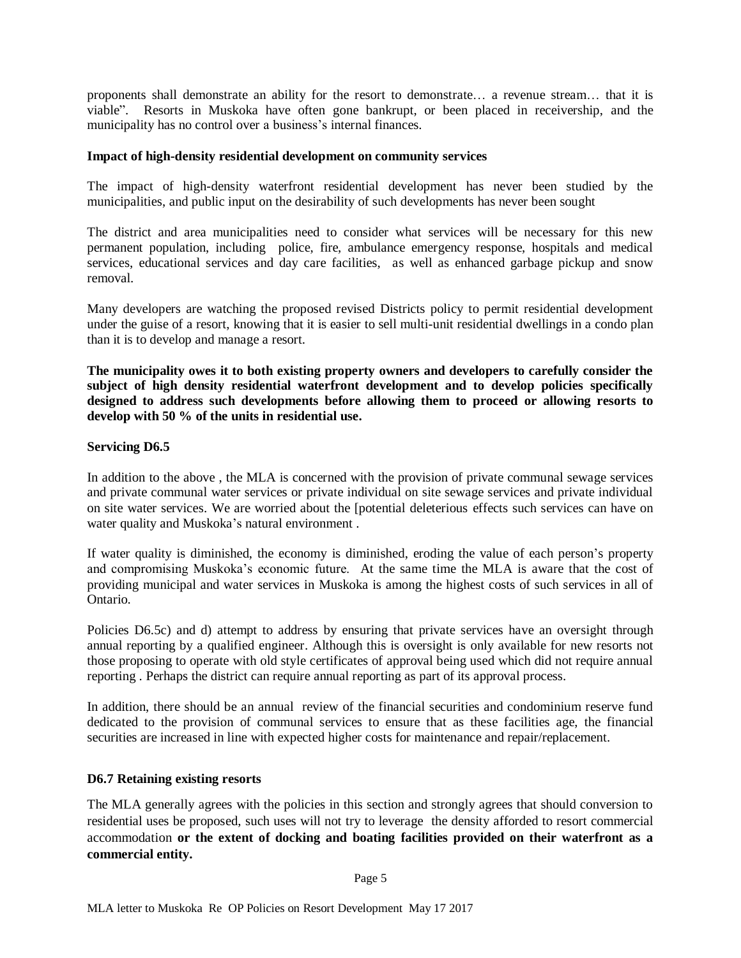proponents shall demonstrate an ability for the resort to demonstrate… a revenue stream… that it is viable". Resorts in Muskoka have often gone bankrupt, or been placed in receivership, and the municipality has no control over a business's internal finances.

#### **Impact of high-density residential development on community services**

The impact of high-density waterfront residential development has never been studied by the municipalities, and public input on the desirability of such developments has never been sought

The district and area municipalities need to consider what services will be necessary for this new permanent population, including police, fire, ambulance emergency response, hospitals and medical services, educational services and day care facilities, as well as enhanced garbage pickup and snow removal.

Many developers are watching the proposed revised Districts policy to permit residential development under the guise of a resort, knowing that it is easier to sell multi-unit residential dwellings in a condo plan than it is to develop and manage a resort.

**The municipality owes it to both existing property owners and developers to carefully consider the subject of high density residential waterfront development and to develop policies specifically designed to address such developments before allowing them to proceed or allowing resorts to develop with 50 % of the units in residential use.** 

#### **Servicing D6.5**

In addition to the above , the MLA is concerned with the provision of private communal sewage services and private communal water services or private individual on site sewage services and private individual on site water services. We are worried about the [potential deleterious effects such services can have on water quality and Muskoka's natural environment .

If water quality is diminished, the economy is diminished, eroding the value of each person's property and compromising Muskoka's economic future. At the same time the MLA is aware that the cost of providing municipal and water services in Muskoka is among the highest costs of such services in all of Ontario.

Policies D6.5c) and d) attempt to address by ensuring that private services have an oversight through annual reporting by a qualified engineer. Although this is oversight is only available for new resorts not those proposing to operate with old style certificates of approval being used which did not require annual reporting . Perhaps the district can require annual reporting as part of its approval process.

In addition, there should be an annual review of the financial securities and condominium reserve fund dedicated to the provision of communal services to ensure that as these facilities age, the financial securities are increased in line with expected higher costs for maintenance and repair/replacement.

#### **D6.7 Retaining existing resorts**

The MLA generally agrees with the policies in this section and strongly agrees that should conversion to residential uses be proposed, such uses will not try to leverage the density afforded to resort commercial accommodation **or the extent of docking and boating facilities provided on their waterfront as a commercial entity.**